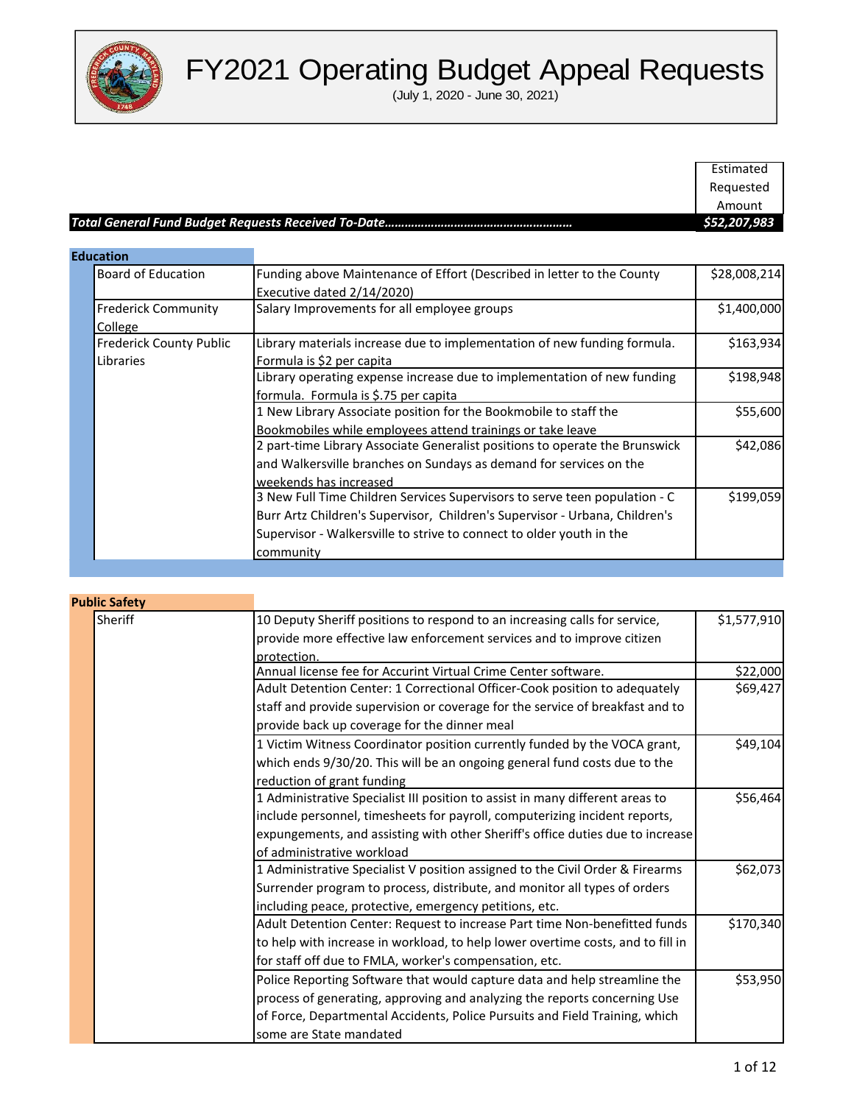

|                                |                                                                          | Estimated    |
|--------------------------------|--------------------------------------------------------------------------|--------------|
|                                |                                                                          | Requested    |
|                                |                                                                          | Amount       |
|                                |                                                                          | \$52,207,983 |
|                                |                                                                          |              |
| <b>Education</b>               |                                                                          |              |
| <b>Board of Education</b>      | Funding above Maintenance of Effort (Described in letter to the County   | \$28,008,214 |
|                                | Executive dated 2/14/2020)                                               |              |
| <b>Frederick Community</b>     | Salary Improvements for all employee groups                              | \$1,400,000  |
| College                        |                                                                          |              |
| <b>Frederick County Public</b> | Library materials increase due to implementation of new funding formula. | \$163.934    |

| <b>Frederick County Public</b> | Library materials increase due to implementation of new funding formula.    | \$163,934 |
|--------------------------------|-----------------------------------------------------------------------------|-----------|
| Libraries                      | Formula is \$2 per capita                                                   |           |
|                                | Library operating expense increase due to implementation of new funding     | \$198,948 |
|                                | formula. Formula is \$.75 per capita                                        |           |
|                                | 1 New Library Associate position for the Bookmobile to staff the            | \$55,600  |
|                                | Bookmobiles while employees attend trainings or take leave                  |           |
|                                | 2 part-time Library Associate Generalist positions to operate the Brunswick | \$42,086  |
|                                | and Walkersville branches on Sundays as demand for services on the          |           |
|                                | weekends has increased                                                      |           |
|                                | 3 New Full Time Children Services Supervisors to serve teen population - C  | \$199,059 |
|                                | Burr Artz Children's Supervisor, Children's Supervisor - Urbana, Children's |           |
|                                | Supervisor - Walkersville to strive to connect to older youth in the        |           |
|                                | community                                                                   |           |

| <b>Public Safety</b> |                                                                                 |             |
|----------------------|---------------------------------------------------------------------------------|-------------|
| <b>Sheriff</b>       | 10 Deputy Sheriff positions to respond to an increasing calls for service,      | \$1,577,910 |
|                      | provide more effective law enforcement services and to improve citizen          |             |
|                      | protection.                                                                     |             |
|                      | Annual license fee for Accurint Virtual Crime Center software.                  | \$22,000    |
|                      | Adult Detention Center: 1 Correctional Officer-Cook position to adequately      | \$69,427    |
|                      | staff and provide supervision or coverage for the service of breakfast and to   |             |
|                      | provide back up coverage for the dinner meal                                    |             |
|                      | 1 Victim Witness Coordinator position currently funded by the VOCA grant,       | \$49,104    |
|                      | which ends 9/30/20. This will be an ongoing general fund costs due to the       |             |
|                      | reduction of grant funding                                                      |             |
|                      | 1 Administrative Specialist III position to assist in many different areas to   | \$56,464    |
|                      | include personnel, timesheets for payroll, computerizing incident reports,      |             |
|                      | expungements, and assisting with other Sheriff's office duties due to increase  |             |
|                      | of administrative workload                                                      |             |
|                      | 1 Administrative Specialist V position assigned to the Civil Order & Firearms   | \$62,073    |
|                      | Surrender program to process, distribute, and monitor all types of orders       |             |
|                      | including peace, protective, emergency petitions, etc.                          |             |
|                      | Adult Detention Center: Request to increase Part time Non-benefitted funds      | \$170,340   |
|                      | to help with increase in workload, to help lower overtime costs, and to fill in |             |
|                      | for staff off due to FMLA, worker's compensation, etc.                          |             |
|                      | Police Reporting Software that would capture data and help streamline the       | \$53,950    |
|                      | process of generating, approving and analyzing the reports concerning Use       |             |
|                      | of Force, Departmental Accidents, Police Pursuits and Field Training, which     |             |
|                      | some are State mandated                                                         |             |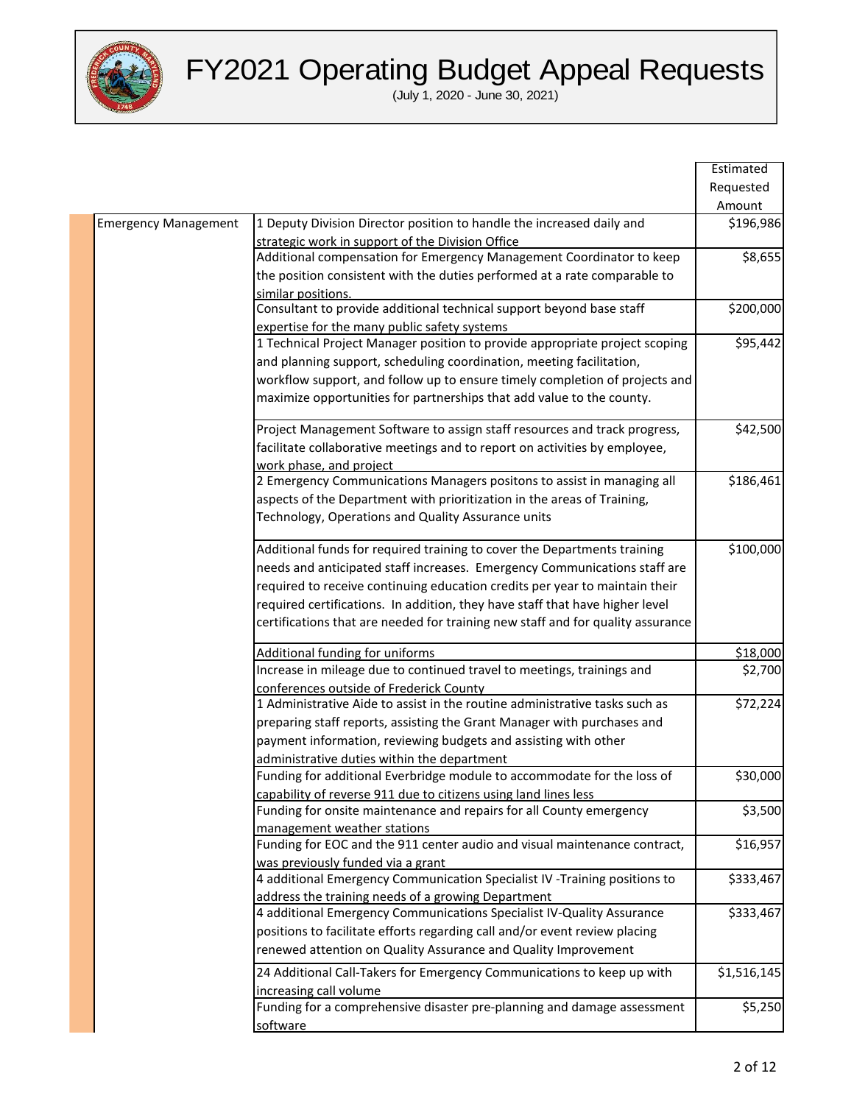

|                             |                                                                                 | Estimated   |
|-----------------------------|---------------------------------------------------------------------------------|-------------|
|                             |                                                                                 | Requested   |
|                             |                                                                                 | Amount      |
| <b>Emergency Management</b> | 1 Deputy Division Director position to handle the increased daily and           | \$196,986   |
|                             | strategic work in support of the Division Office                                |             |
|                             | Additional compensation for Emergency Management Coordinator to keep            | \$8,655     |
|                             | the position consistent with the duties performed at a rate comparable to       |             |
|                             | similar positions.                                                              |             |
|                             | Consultant to provide additional technical support beyond base staff            | \$200,000   |
|                             | expertise for the many public safety systems                                    |             |
|                             | 1 Technical Project Manager position to provide appropriate project scoping     | \$95,442    |
|                             | and planning support, scheduling coordination, meeting facilitation,            |             |
|                             | workflow support, and follow up to ensure timely completion of projects and     |             |
|                             | maximize opportunities for partnerships that add value to the county.           |             |
|                             | Project Management Software to assign staff resources and track progress,       | \$42,500    |
|                             | facilitate collaborative meetings and to report on activities by employee,      |             |
|                             | work phase, and project                                                         |             |
|                             | 2 Emergency Communications Managers positons to assist in managing all          | \$186,461   |
|                             | aspects of the Department with prioritization in the areas of Training,         |             |
|                             | Technology, Operations and Quality Assurance units                              |             |
|                             | Additional funds for required training to cover the Departments training        | \$100,000   |
|                             | needs and anticipated staff increases. Emergency Communications staff are       |             |
|                             | required to receive continuing education credits per year to maintain their     |             |
|                             | required certifications. In addition, they have staff that have higher level    |             |
|                             | certifications that are needed for training new staff and for quality assurance |             |
|                             | Additional funding for uniforms                                                 | \$18,000    |
|                             | Increase in mileage due to continued travel to meetings, trainings and          | \$2,700     |
|                             | conferences outside of Frederick County                                         |             |
|                             | 1 Administrative Aide to assist in the routine administrative tasks such as     | \$72,224    |
|                             | preparing staff reports, assisting the Grant Manager with purchases and         |             |
|                             | payment information, reviewing budgets and assisting with other                 |             |
|                             | administrative duties within the department                                     |             |
|                             | Funding for additional Everbridge module to accommodate for the loss of         | \$30,000    |
|                             | capability of reverse 911 due to citizens using land lines less                 |             |
|                             | Funding for onsite maintenance and repairs for all County emergency             | \$3,500     |
|                             | management weather stations                                                     |             |
|                             | Funding for EOC and the 911 center audio and visual maintenance contract,       | \$16,957    |
|                             | was previously funded via a grant                                               |             |
|                             | 4 additional Emergency Communication Specialist IV -Training positions to       | \$333,467   |
|                             | address the training needs of a growing Department                              |             |
|                             | 4 additional Emergency Communications Specialist IV-Quality Assurance           | \$333,467   |
|                             | positions to facilitate efforts regarding call and/or event review placing      |             |
|                             | renewed attention on Quality Assurance and Quality Improvement                  |             |
|                             | 24 Additional Call-Takers for Emergency Communications to keep up with          | \$1,516,145 |
|                             | increasing call volume                                                          |             |
|                             | Funding for a comprehensive disaster pre-planning and damage assessment         | \$5,250     |
|                             | software                                                                        |             |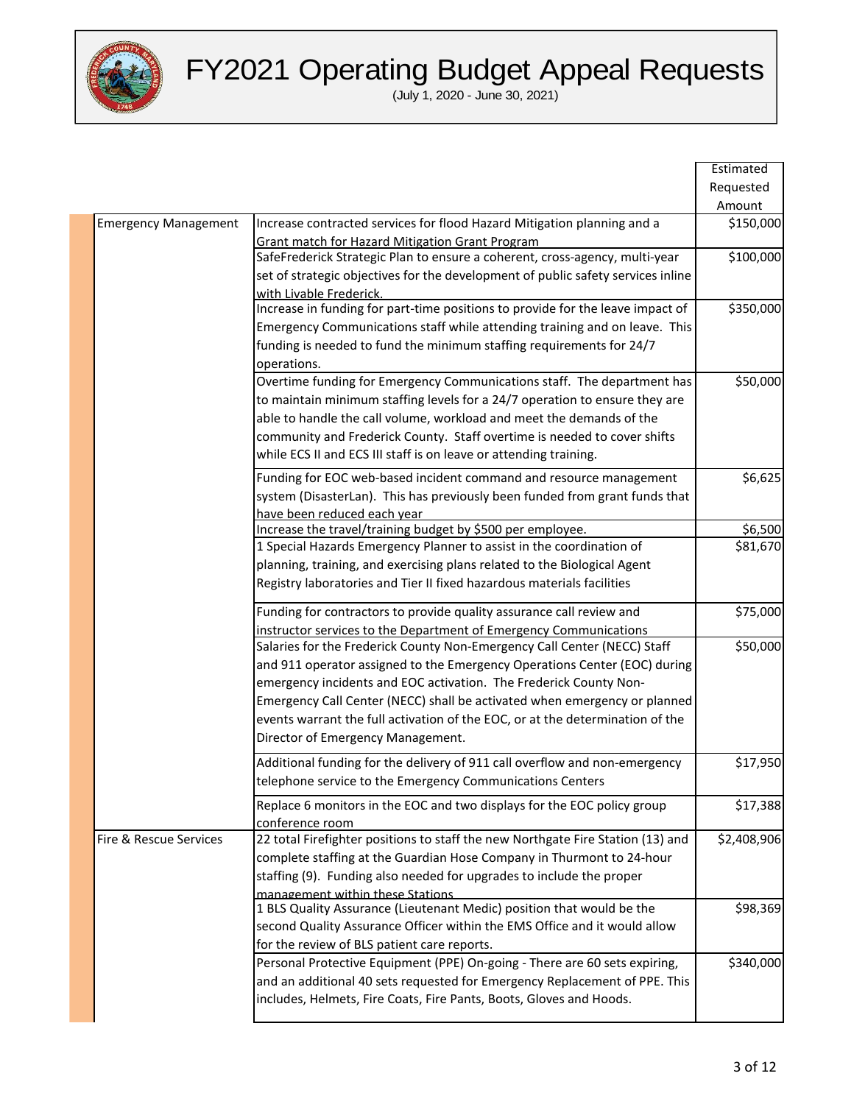

|                             |                                                                                  | Estimated   |
|-----------------------------|----------------------------------------------------------------------------------|-------------|
|                             |                                                                                  | Requested   |
|                             |                                                                                  | Amount      |
| <b>Emergency Management</b> | Increase contracted services for flood Hazard Mitigation planning and a          | \$150,000   |
|                             | Grant match for Hazard Mitigation Grant Program                                  |             |
|                             | SafeFrederick Strategic Plan to ensure a coherent, cross-agency, multi-year      | \$100,000   |
|                             | set of strategic objectives for the development of public safety services inline |             |
|                             | with Livable Frederick.                                                          |             |
|                             | Increase in funding for part-time positions to provide for the leave impact of   | \$350,000   |
|                             | Emergency Communications staff while attending training and on leave. This       |             |
|                             | funding is needed to fund the minimum staffing requirements for 24/7             |             |
|                             | operations.                                                                      |             |
|                             | Overtime funding for Emergency Communications staff. The department has          | \$50,000    |
|                             | to maintain minimum staffing levels for a 24/7 operation to ensure they are      |             |
|                             | able to handle the call volume, workload and meet the demands of the             |             |
|                             | community and Frederick County. Staff overtime is needed to cover shifts         |             |
|                             | while ECS II and ECS III staff is on leave or attending training.                |             |
|                             |                                                                                  |             |
|                             | Funding for EOC web-based incident command and resource management               | \$6,625     |
|                             | system (DisasterLan). This has previously been funded from grant funds that      |             |
|                             | have been reduced each year                                                      |             |
|                             | Increase the travel/training budget by \$500 per employee.                       | \$6,500     |
|                             | 1 Special Hazards Emergency Planner to assist in the coordination of             | \$81,670    |
|                             | planning, training, and exercising plans related to the Biological Agent         |             |
|                             | Registry laboratories and Tier II fixed hazardous materials facilities           |             |
|                             | Funding for contractors to provide quality assurance call review and             | \$75,000    |
|                             | instructor services to the Department of Emergency Communications                |             |
|                             | Salaries for the Frederick County Non-Emergency Call Center (NECC) Staff         | \$50,000    |
|                             | and 911 operator assigned to the Emergency Operations Center (EOC) during        |             |
|                             | emergency incidents and EOC activation. The Frederick County Non-                |             |
|                             | Emergency Call Center (NECC) shall be activated when emergency or planned        |             |
|                             | events warrant the full activation of the EOC, or at the determination of the    |             |
|                             | Director of Emergency Management.                                                |             |
|                             | Additional funding for the delivery of 911 call overflow and non-emergency       | \$17,950    |
|                             | telephone service to the Emergency Communications Centers                        |             |
|                             |                                                                                  |             |
|                             | Replace 6 monitors in the EOC and two displays for the EOC policy group          | \$17,388    |
|                             | conference room                                                                  |             |
| Fire & Rescue Services      | 22 total Firefighter positions to staff the new Northgate Fire Station (13) and  | \$2,408,906 |
|                             | complete staffing at the Guardian Hose Company in Thurmont to 24-hour            |             |
|                             | staffing (9). Funding also needed for upgrades to include the proper             |             |
|                             | management within these Stations                                                 |             |
|                             | 1 BLS Quality Assurance (Lieutenant Medic) position that would be the            | \$98,369    |
|                             | second Quality Assurance Officer within the EMS Office and it would allow        |             |
|                             | for the review of BLS patient care reports.                                      |             |
|                             | Personal Protective Equipment (PPE) On-going - There are 60 sets expiring,       | \$340,000   |
|                             | and an additional 40 sets requested for Emergency Replacement of PPE. This       |             |
|                             | includes, Helmets, Fire Coats, Fire Pants, Boots, Gloves and Hoods.              |             |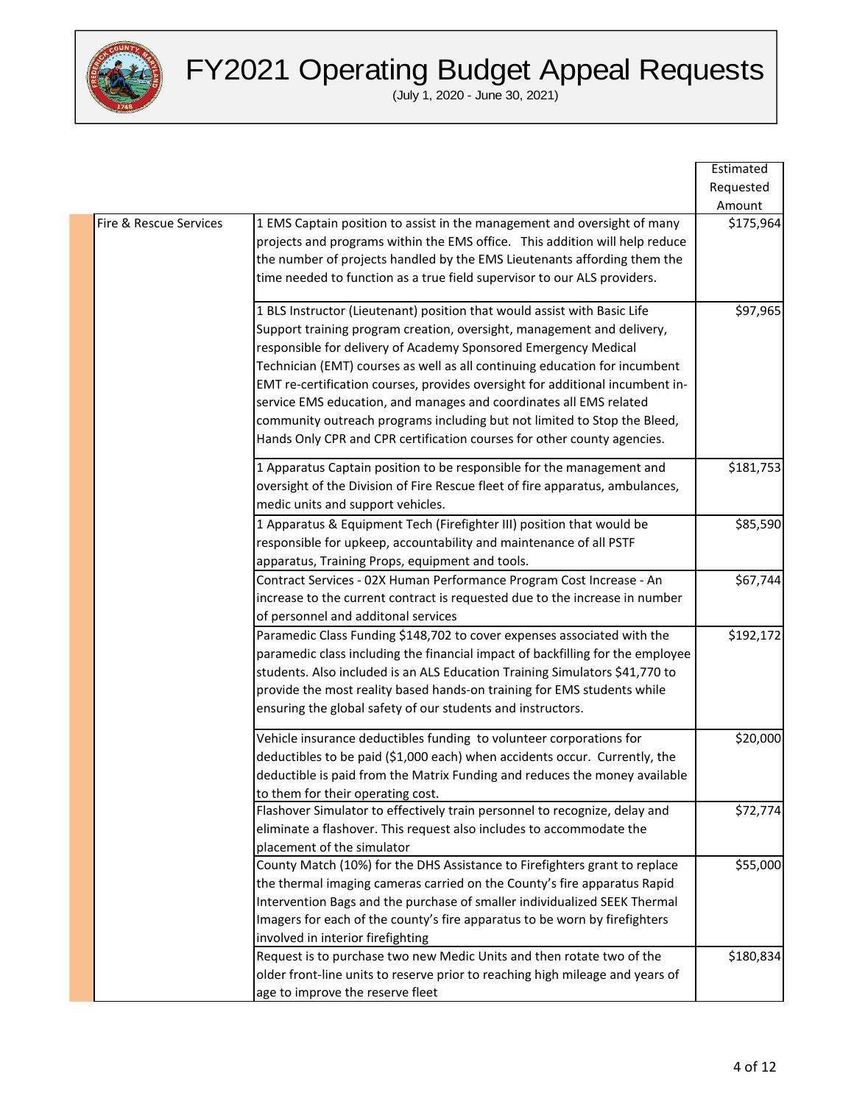

|                        |                                                                                | Estimated |
|------------------------|--------------------------------------------------------------------------------|-----------|
|                        |                                                                                | Requested |
|                        |                                                                                | Amount    |
| Fire & Rescue Services | 1 EMS Captain position to assist in the management and oversight of many       | \$175,964 |
|                        | projects and programs within the EMS office. This addition will help reduce    |           |
|                        | the number of projects handled by the EMS Lieutenants affording them the       |           |
|                        | time needed to function as a true field supervisor to our ALS providers.       |           |
|                        | 1 BLS Instructor (Lieutenant) position that would assist with Basic Life       | \$97,965  |
|                        | Support training program creation, oversight, management and delivery,         |           |
|                        | responsible for delivery of Academy Sponsored Emergency Medical                |           |
|                        | Technician (EMT) courses as well as all continuing education for incumbent     |           |
|                        | EMT re-certification courses, provides oversight for additional incumbent in-  |           |
|                        | service EMS education, and manages and coordinates all EMS related             |           |
|                        | community outreach programs including but not limited to Stop the Bleed,       |           |
|                        | Hands Only CPR and CPR certification courses for other county agencies.        |           |
|                        | 1 Apparatus Captain position to be responsible for the management and          | \$181,753 |
|                        | oversight of the Division of Fire Rescue fleet of fire apparatus, ambulances,  |           |
|                        | medic units and support vehicles.                                              |           |
|                        | 1 Apparatus & Equipment Tech (Firefighter III) position that would be          | \$85,590  |
|                        | responsible for upkeep, accountability and maintenance of all PSTF             |           |
|                        | apparatus, Training Props, equipment and tools.                                |           |
|                        | Contract Services - 02X Human Performance Program Cost Increase - An           | \$67,744  |
|                        | increase to the current contract is requested due to the increase in number    |           |
|                        | of personnel and additonal services                                            |           |
|                        | Paramedic Class Funding \$148,702 to cover expenses associated with the        | \$192,172 |
|                        | paramedic class including the financial impact of backfilling for the employee |           |
|                        | students. Also included is an ALS Education Training Simulators \$41,770 to    |           |
|                        | provide the most reality based hands-on training for EMS students while        |           |
|                        | ensuring the global safety of our students and instructors.                    |           |
|                        | Vehicle insurance deductibles funding to volunteer corporations for            | \$20,000  |
|                        | deductibles to be paid (\$1,000 each) when accidents occur. Currently, the     |           |
|                        | deductible is paid from the Matrix Funding and reduces the money available     |           |
|                        | to them for their operating cost.                                              |           |
|                        | Flashover Simulator to effectively train personnel to recognize, delay and     | \$72,774  |
|                        | eliminate a flashover. This request also includes to accommodate the           |           |
|                        | placement of the simulator                                                     |           |
|                        | County Match (10%) for the DHS Assistance to Firefighters grant to replace     | \$55,000  |
|                        | the thermal imaging cameras carried on the County's fire apparatus Rapid       |           |
|                        | Intervention Bags and the purchase of smaller individualized SEEK Thermal      |           |
|                        | Imagers for each of the county's fire apparatus to be worn by firefighters     |           |
|                        | involved in interior firefighting                                              |           |
|                        | Request is to purchase two new Medic Units and then rotate two of the          | \$180,834 |
|                        | older front-line units to reserve prior to reaching high mileage and years of  |           |
|                        | age to improve the reserve fleet                                               |           |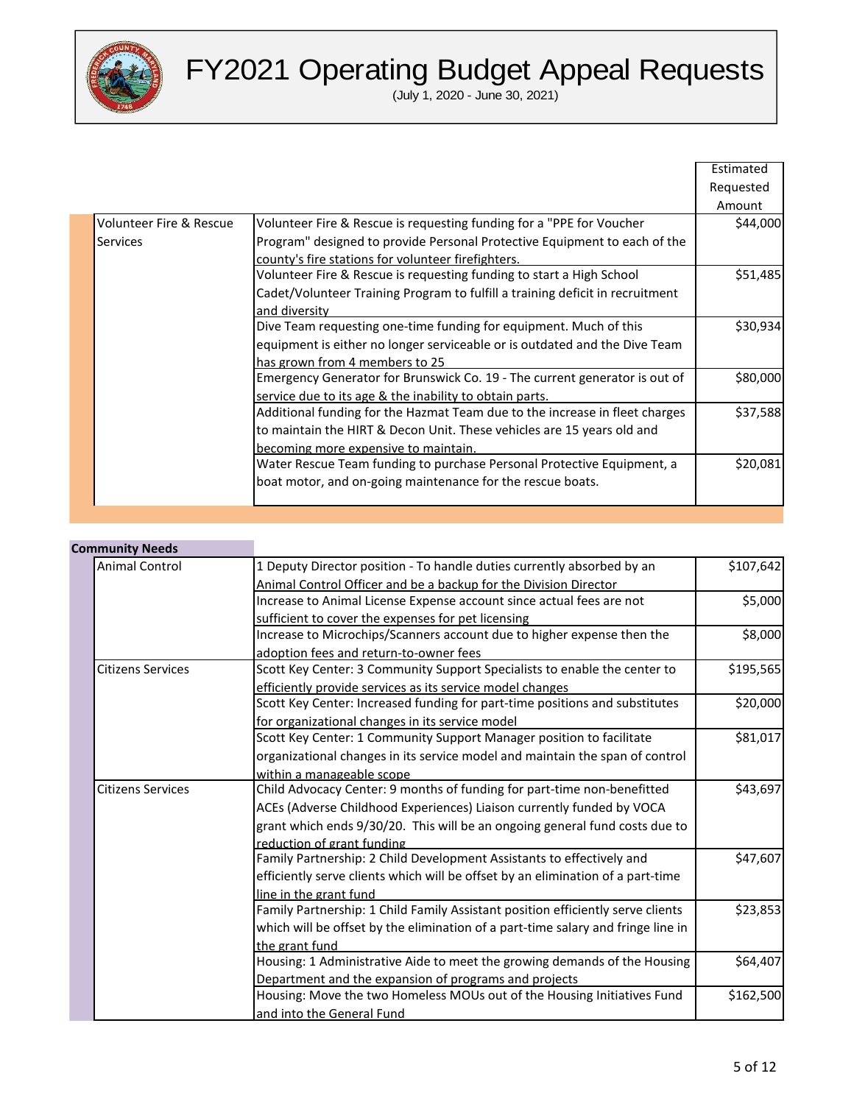

(July 1, 2020 - June 30, 2021)

|                                    |                                                                               | Estimated |
|------------------------------------|-------------------------------------------------------------------------------|-----------|
|                                    |                                                                               | Requested |
|                                    |                                                                               | Amount    |
| <b>Volunteer Fire &amp; Rescue</b> | Volunteer Fire & Rescue is requesting funding for a "PPE for Voucher          | \$44,000  |
| <b>Services</b>                    | Program" designed to provide Personal Protective Equipment to each of the     |           |
|                                    | county's fire stations for volunteer firefighters.                            |           |
|                                    | Volunteer Fire & Rescue is requesting funding to start a High School          | \$51,485  |
|                                    | Cadet/Volunteer Training Program to fulfill a training deficit in recruitment |           |
|                                    | and diversity                                                                 |           |
|                                    | Dive Team requesting one-time funding for equipment. Much of this             | \$30,934  |
|                                    | equipment is either no longer serviceable or is outdated and the Dive Team    |           |
|                                    | has grown from 4 members to 25                                                |           |
|                                    | Emergency Generator for Brunswick Co. 19 - The current generator is out of    | \$80,000  |
|                                    | service due to its age & the inability to obtain parts.                       |           |
|                                    | Additional funding for the Hazmat Team due to the increase in fleet charges   | \$37,588  |
|                                    | to maintain the HIRT & Decon Unit. These vehicles are 15 years old and        |           |
|                                    | becoming more expensive to maintain.                                          |           |
|                                    | Water Rescue Team funding to purchase Personal Protective Equipment, a        | \$20,081  |
|                                    | boat motor, and on-going maintenance for the rescue boats.                    |           |
|                                    |                                                                               |           |

#### **Community Needs**

| <b>Animal Control</b>    | 1 Deputy Director position - To handle duties currently absorbed by an           | \$107,642 |
|--------------------------|----------------------------------------------------------------------------------|-----------|
|                          | Animal Control Officer and be a backup for the Division Director                 |           |
|                          | Increase to Animal License Expense account since actual fees are not             | \$5,000   |
|                          | sufficient to cover the expenses for pet licensing                               |           |
|                          | Increase to Microchips/Scanners account due to higher expense then the           | \$8,000   |
|                          | adoption fees and return-to-owner fees                                           |           |
| <b>Citizens Services</b> | Scott Key Center: 3 Community Support Specialists to enable the center to        | \$195,565 |
|                          | efficiently provide services as its service model changes                        |           |
|                          | Scott Key Center: Increased funding for part-time positions and substitutes      | \$20,000  |
|                          | for organizational changes in its service model                                  |           |
|                          | Scott Key Center: 1 Community Support Manager position to facilitate             | \$81,017  |
|                          | organizational changes in its service model and maintain the span of control     |           |
|                          | within a manageable scope                                                        |           |
| <b>Citizens Services</b> | Child Advocacy Center: 9 months of funding for part-time non-benefitted          | \$43,697  |
|                          | ACEs (Adverse Childhood Experiences) Liaison currently funded by VOCA            |           |
|                          | grant which ends 9/30/20. This will be an ongoing general fund costs due to      |           |
|                          | reduction of grant funding                                                       |           |
|                          | Family Partnership: 2 Child Development Assistants to effectively and            | \$47,607  |
|                          | efficiently serve clients which will be offset by an elimination of a part-time  |           |
|                          | line in the grant fund                                                           |           |
|                          | Family Partnership: 1 Child Family Assistant position efficiently serve clients  | \$23,853  |
|                          | which will be offset by the elimination of a part-time salary and fringe line in |           |
|                          | the grant fund                                                                   |           |
|                          | Housing: 1 Administrative Aide to meet the growing demands of the Housing        | \$64,407  |
|                          | Department and the expansion of programs and projects                            |           |
|                          | Housing: Move the two Homeless MOUs out of the Housing Initiatives Fund          | \$162,500 |
|                          | and into the General Fund                                                        |           |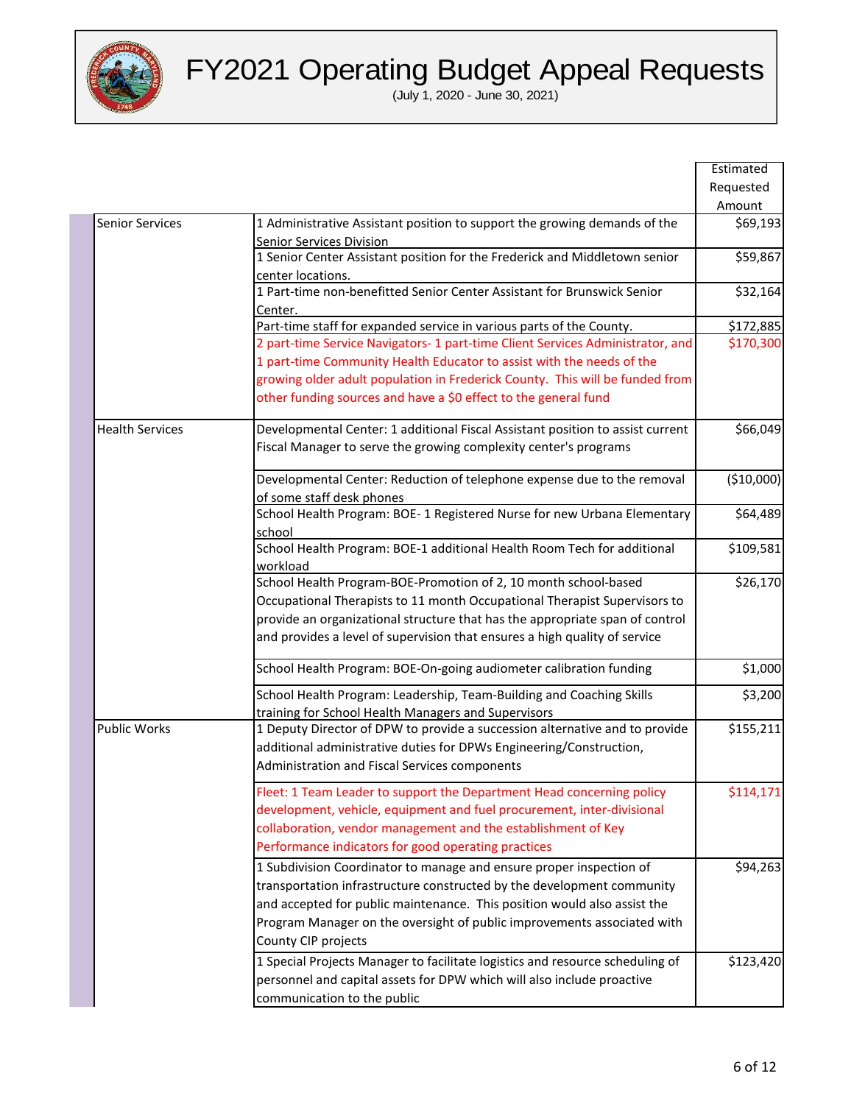

|                        |                                                                                                                                                                                                                                                                                                                             | Estimated  |
|------------------------|-----------------------------------------------------------------------------------------------------------------------------------------------------------------------------------------------------------------------------------------------------------------------------------------------------------------------------|------------|
|                        |                                                                                                                                                                                                                                                                                                                             | Requested  |
|                        |                                                                                                                                                                                                                                                                                                                             | Amount     |
| <b>Senior Services</b> | 1 Administrative Assistant position to support the growing demands of the<br>Senior Services Division                                                                                                                                                                                                                       | \$69,193   |
|                        | 1 Senior Center Assistant position for the Frederick and Middletown senior<br>center locations.                                                                                                                                                                                                                             | \$59,867   |
|                        | 1 Part-time non-benefitted Senior Center Assistant for Brunswick Senior<br>Center.                                                                                                                                                                                                                                          | \$32,164   |
|                        | Part-time staff for expanded service in various parts of the County.                                                                                                                                                                                                                                                        | \$172,885  |
|                        | 2 part-time Service Navigators- 1 part-time Client Services Administrator, and                                                                                                                                                                                                                                              | \$170,300  |
|                        | 1 part-time Community Health Educator to assist with the needs of the                                                                                                                                                                                                                                                       |            |
|                        | growing older adult population in Frederick County. This will be funded from                                                                                                                                                                                                                                                |            |
|                        | other funding sources and have a \$0 effect to the general fund                                                                                                                                                                                                                                                             |            |
| <b>Health Services</b> | Developmental Center: 1 additional Fiscal Assistant position to assist current<br>Fiscal Manager to serve the growing complexity center's programs                                                                                                                                                                          | \$66,049   |
|                        | Developmental Center: Reduction of telephone expense due to the removal<br>of some staff desk phones                                                                                                                                                                                                                        | (\$10,000) |
|                        | School Health Program: BOE- 1 Registered Nurse for new Urbana Elementary<br>school                                                                                                                                                                                                                                          | \$64,489   |
|                        | School Health Program: BOE-1 additional Health Room Tech for additional<br>workload                                                                                                                                                                                                                                         | \$109,581  |
|                        | School Health Program-BOE-Promotion of 2, 10 month school-based                                                                                                                                                                                                                                                             | \$26,170   |
|                        | Occupational Therapists to 11 month Occupational Therapist Supervisors to                                                                                                                                                                                                                                                   |            |
|                        | provide an organizational structure that has the appropriate span of control                                                                                                                                                                                                                                                |            |
|                        | and provides a level of supervision that ensures a high quality of service                                                                                                                                                                                                                                                  |            |
|                        | School Health Program: BOE-On-going audiometer calibration funding                                                                                                                                                                                                                                                          | \$1,000    |
|                        | School Health Program: Leadership, Team-Building and Coaching Skills<br>training for School Health Managers and Supervisors                                                                                                                                                                                                 | \$3,200    |
| <b>Public Works</b>    | 1 Deputy Director of DPW to provide a succession alternative and to provide<br>additional administrative duties for DPWs Engineering/Construction,<br>Administration and Fiscal Services components                                                                                                                         | \$155,211  |
|                        | Fleet: 1 Team Leader to support the Department Head concerning policy<br>development, vehicle, equipment and fuel procurement, inter-divisional<br>collaboration, vendor management and the establishment of Key<br>Performance indicators for good operating practices                                                     | \$114,171  |
|                        | 1 Subdivision Coordinator to manage and ensure proper inspection of<br>transportation infrastructure constructed by the development community<br>and accepted for public maintenance. This position would also assist the<br>Program Manager on the oversight of public improvements associated with<br>County CIP projects | \$94,263   |
|                        | 1 Special Projects Manager to facilitate logistics and resource scheduling of<br>personnel and capital assets for DPW which will also include proactive<br>communication to the public                                                                                                                                      | \$123,420  |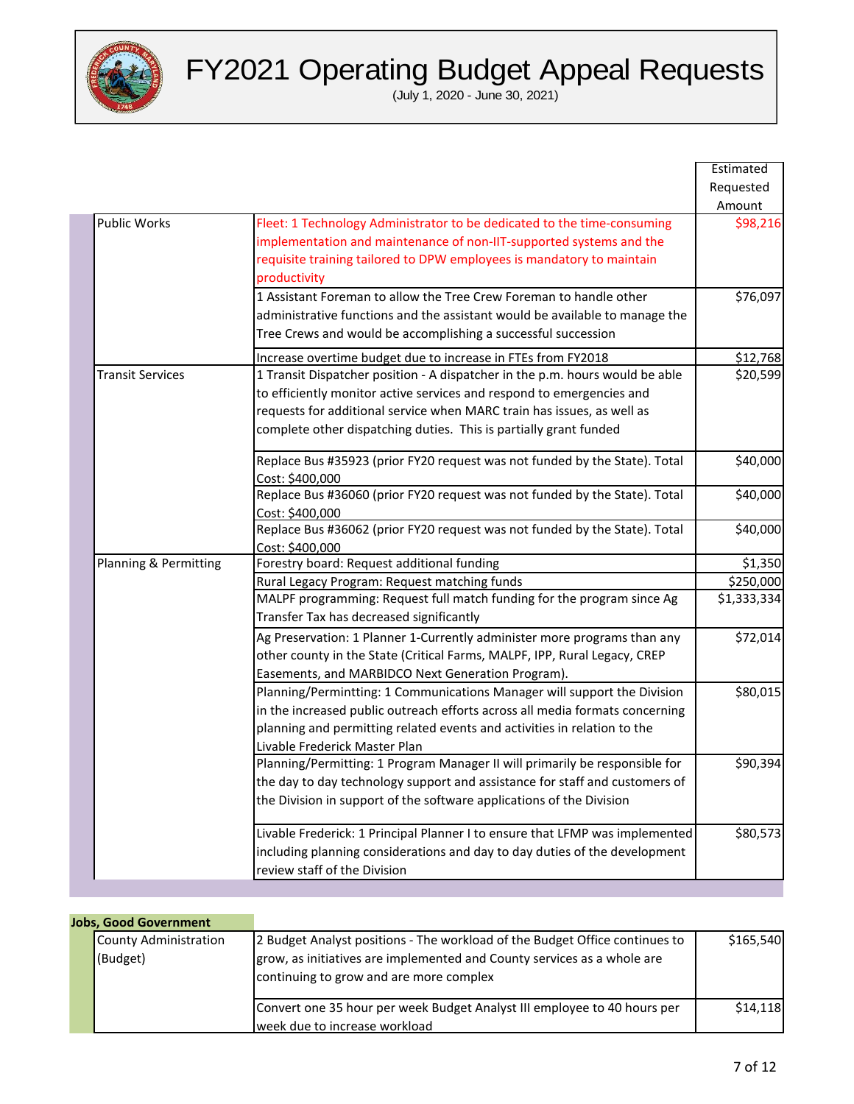

|                         |                                                                                                                                                                                                                                                                                                      | Estimated   |
|-------------------------|------------------------------------------------------------------------------------------------------------------------------------------------------------------------------------------------------------------------------------------------------------------------------------------------------|-------------|
|                         |                                                                                                                                                                                                                                                                                                      | Requested   |
|                         |                                                                                                                                                                                                                                                                                                      | Amount      |
| <b>Public Works</b>     | Fleet: 1 Technology Administrator to be dedicated to the time-consuming<br>implementation and maintenance of non-IIT-supported systems and the<br>requisite training tailored to DPW employees is mandatory to maintain<br>productivity                                                              | \$98,216    |
|                         | 1 Assistant Foreman to allow the Tree Crew Foreman to handle other<br>administrative functions and the assistant would be available to manage the<br>Tree Crews and would be accomplishing a successful succession                                                                                   | \$76,097    |
|                         | Increase overtime budget due to increase in FTEs from FY2018                                                                                                                                                                                                                                         | \$12,768    |
| <b>Transit Services</b> | 1 Transit Dispatcher position - A dispatcher in the p.m. hours would be able<br>to efficiently monitor active services and respond to emergencies and<br>requests for additional service when MARC train has issues, as well as<br>complete other dispatching duties. This is partially grant funded | \$20,599    |
|                         | Replace Bus #35923 (prior FY20 request was not funded by the State). Total<br>Cost: \$400,000                                                                                                                                                                                                        | \$40,000    |
|                         | Replace Bus #36060 (prior FY20 request was not funded by the State). Total<br>Cost: \$400,000                                                                                                                                                                                                        | \$40,000    |
|                         | Replace Bus #36062 (prior FY20 request was not funded by the State). Total<br>Cost: \$400,000                                                                                                                                                                                                        | \$40,000    |
| Planning & Permitting   | Forestry board: Request additional funding                                                                                                                                                                                                                                                           | \$1,350     |
|                         | Rural Legacy Program: Request matching funds                                                                                                                                                                                                                                                         | \$250,000   |
|                         | MALPF programming: Request full match funding for the program since Ag<br>Transfer Tax has decreased significantly                                                                                                                                                                                   | \$1,333,334 |
|                         | Ag Preservation: 1 Planner 1-Currently administer more programs than any<br>other county in the State (Critical Farms, MALPF, IPP, Rural Legacy, CREP<br>Easements, and MARBIDCO Next Generation Program).                                                                                           | \$72,014    |
|                         | Planning/Permintting: 1 Communications Manager will support the Division<br>in the increased public outreach efforts across all media formats concerning<br>planning and permitting related events and activities in relation to the<br>Livable Frederick Master Plan                                | \$80,015    |
|                         | Planning/Permitting: 1 Program Manager II will primarily be responsible for<br>the day to day technology support and assistance for staff and customers of<br>the Division in support of the software applications of the Division                                                                   | \$90,394    |
|                         | Livable Frederick: 1 Principal Planner I to ensure that LFMP was implemented<br>including planning considerations and day to day duties of the development<br>review staff of the Division                                                                                                           | \$80,573    |

| <b>Jobs, Good Government</b>      |                                                                                                                                                                                                   |           |
|-----------------------------------|---------------------------------------------------------------------------------------------------------------------------------------------------------------------------------------------------|-----------|
| County Administration<br>(Budget) | 2 Budget Analyst positions - The workload of the Budget Office continues to<br>grow, as initiatives are implemented and County services as a whole are<br>continuing to grow and are more complex | \$165,540 |
|                                   | Convert one 35 hour per week Budget Analyst III employee to 40 hours per<br>week due to increase workload                                                                                         | \$14.118  |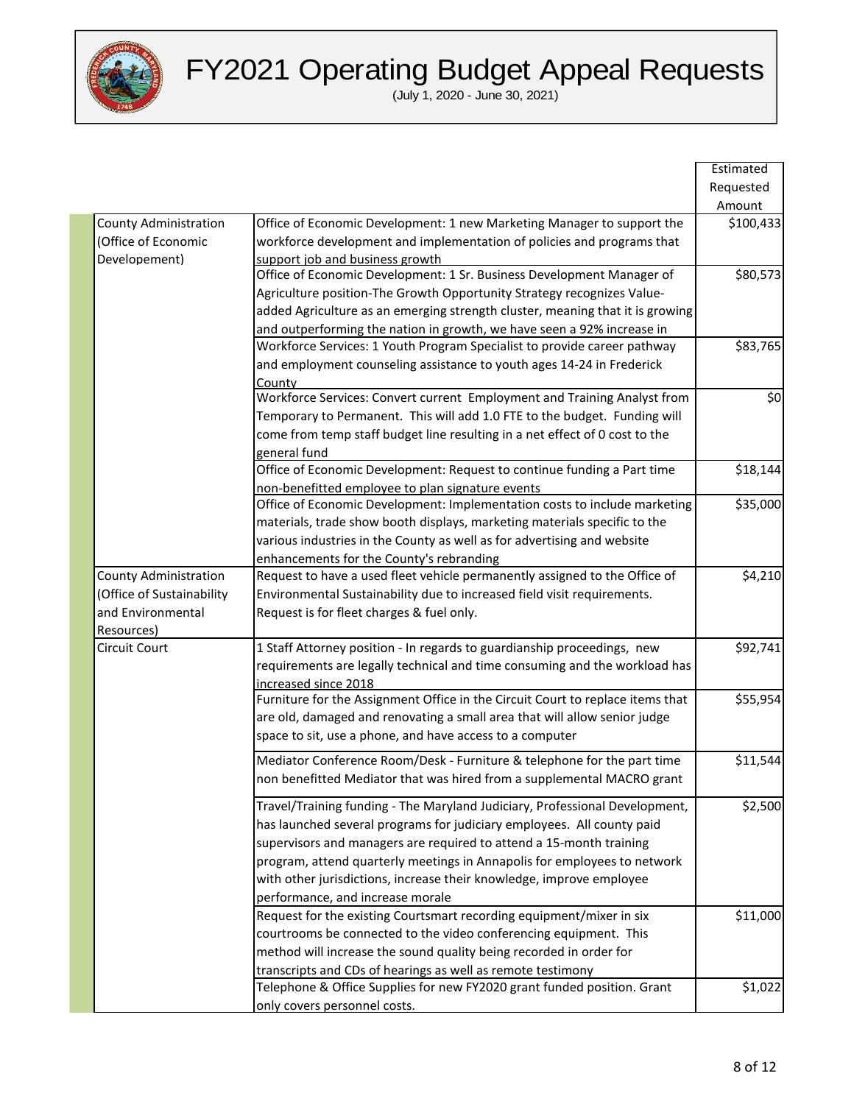

|                              |                                                                                | Estimated |
|------------------------------|--------------------------------------------------------------------------------|-----------|
|                              |                                                                                | Requested |
|                              |                                                                                | Amount    |
| <b>County Administration</b> | Office of Economic Development: 1 new Marketing Manager to support the         | \$100,433 |
| (Office of Economic          | workforce development and implementation of policies and programs that         |           |
| Developement)                | support job and business growth                                                |           |
|                              | Office of Economic Development: 1 Sr. Business Development Manager of          | \$80,573  |
|                              | Agriculture position-The Growth Opportunity Strategy recognizes Value-         |           |
|                              | added Agriculture as an emerging strength cluster, meaning that it is growing  |           |
|                              | and outperforming the nation in growth, we have seen a 92% increase in         |           |
|                              | Workforce Services: 1 Youth Program Specialist to provide career pathway       | \$83,765  |
|                              | and employment counseling assistance to youth ages 14-24 in Frederick          |           |
|                              | County                                                                         |           |
|                              | Workforce Services: Convert current Employment and Training Analyst from       | \$0       |
|                              | Temporary to Permanent. This will add 1.0 FTE to the budget. Funding will      |           |
|                              | come from temp staff budget line resulting in a net effect of 0 cost to the    |           |
|                              | general fund                                                                   |           |
|                              | Office of Economic Development: Request to continue funding a Part time        | \$18,144  |
|                              | non-benefitted employee to plan signature events                               |           |
|                              | Office of Economic Development: Implementation costs to include marketing      | \$35,000  |
|                              | materials, trade show booth displays, marketing materials specific to the      |           |
|                              | various industries in the County as well as for advertising and website        |           |
|                              | enhancements for the County's rebranding                                       |           |
| <b>County Administration</b> | Request to have a used fleet vehicle permanently assigned to the Office of     | \$4,210   |
| (Office of Sustainability    | Environmental Sustainability due to increased field visit requirements.        |           |
| and Environmental            | Request is for fleet charges & fuel only.                                      |           |
| Resources)                   |                                                                                |           |
| Circuit Court                | 1 Staff Attorney position - In regards to guardianship proceedings, new        | \$92,741  |
|                              | requirements are legally technical and time consuming and the workload has     |           |
|                              | increased since 2018                                                           |           |
|                              | Furniture for the Assignment Office in the Circuit Court to replace items that | \$55,954  |
|                              | are old, damaged and renovating a small area that will allow senior judge      |           |
|                              | space to sit, use a phone, and have access to a computer                       |           |
|                              |                                                                                |           |
|                              | Mediator Conference Room/Desk - Furniture & telephone for the part time        | \$11,544  |
|                              | non benefitted Mediator that was hired from a supplemental MACRO grant         |           |
|                              | Travel/Training funding - The Maryland Judiciary, Professional Development,    | \$2,500   |
|                              | has launched several programs for judiciary employees. All county paid         |           |
|                              |                                                                                |           |
|                              | supervisors and managers are required to attend a 15-month training            |           |
|                              | program, attend quarterly meetings in Annapolis for employees to network       |           |
|                              | with other jurisdictions, increase their knowledge, improve employee           |           |
|                              | performance, and increase morale                                               |           |
|                              | Request for the existing Courtsmart recording equipment/mixer in six           | \$11,000  |
|                              | courtrooms be connected to the video conferencing equipment. This              |           |
|                              | method will increase the sound quality being recorded in order for             |           |
|                              | transcripts and CDs of hearings as well as remote testimony                    |           |
|                              | Telephone & Office Supplies for new FY2020 grant funded position. Grant        | \$1,022   |
|                              | only covers personnel costs.                                                   |           |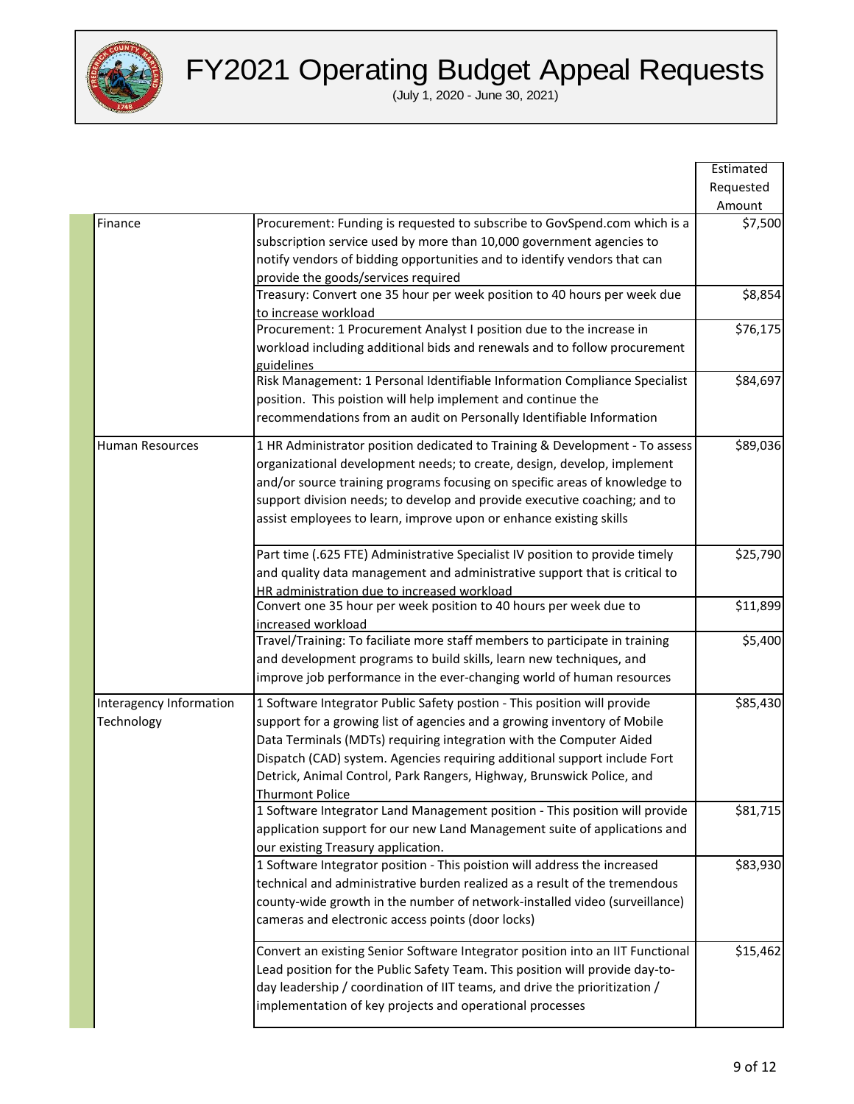

|                         |                                                                                                                  | Estimated |
|-------------------------|------------------------------------------------------------------------------------------------------------------|-----------|
|                         |                                                                                                                  | Requested |
|                         |                                                                                                                  | Amount    |
| Finance                 | Procurement: Funding is requested to subscribe to GovSpend.com which is a                                        | \$7,500   |
|                         | subscription service used by more than 10,000 government agencies to                                             |           |
|                         | notify vendors of bidding opportunities and to identify vendors that can                                         |           |
|                         | provide the goods/services required                                                                              |           |
|                         | Treasury: Convert one 35 hour per week position to 40 hours per week due                                         | \$8,854   |
|                         | to increase workload                                                                                             |           |
|                         | Procurement: 1 Procurement Analyst I position due to the increase in                                             | \$76,175  |
|                         | workload including additional bids and renewals and to follow procurement                                        |           |
|                         | guidelines                                                                                                       |           |
|                         | Risk Management: 1 Personal Identifiable Information Compliance Specialist                                       | \$84,697  |
|                         | position. This poistion will help implement and continue the                                                     |           |
|                         |                                                                                                                  |           |
|                         | recommendations from an audit on Personally Identifiable Information                                             |           |
| <b>Human Resources</b>  | 1 HR Administrator position dedicated to Training & Development - To assess                                      | \$89,036  |
|                         | organizational development needs; to create, design, develop, implement                                          |           |
|                         | and/or source training programs focusing on specific areas of knowledge to                                       |           |
|                         | support division needs; to develop and provide executive coaching; and to                                        |           |
|                         | assist employees to learn, improve upon or enhance existing skills                                               |           |
|                         |                                                                                                                  |           |
|                         | Part time (.625 FTE) Administrative Specialist IV position to provide timely                                     | \$25,790  |
|                         |                                                                                                                  |           |
|                         | and quality data management and administrative support that is critical to                                       |           |
|                         | HR administration due to increased workload<br>Convert one 35 hour per week position to 40 hours per week due to | \$11,899  |
|                         | increased workload                                                                                               |           |
|                         | Travel/Training: To faciliate more staff members to participate in training                                      | \$5,400   |
|                         | and development programs to build skills, learn new techniques, and                                              |           |
|                         |                                                                                                                  |           |
|                         | improve job performance in the ever-changing world of human resources                                            |           |
| Interagency Information | 1 Software Integrator Public Safety postion - This position will provide                                         | \$85,430  |
| Technology              | support for a growing list of agencies and a growing inventory of Mobile                                         |           |
|                         | Data Terminals (MDTs) requiring integration with the Computer Aided                                              |           |
|                         | Dispatch (CAD) system. Agencies requiring additional support include Fort                                        |           |
|                         | Detrick, Animal Control, Park Rangers, Highway, Brunswick Police, and                                            |           |
|                         | <b>Thurmont Police</b>                                                                                           |           |
|                         | 1 Software Integrator Land Management position - This position will provide                                      | \$81,715  |
|                         | application support for our new Land Management suite of applications and                                        |           |
|                         | our existing Treasury application.                                                                               |           |
|                         | 1 Software Integrator position - This poistion will address the increased                                        | \$83,930  |
|                         | technical and administrative burden realized as a result of the tremendous                                       |           |
|                         |                                                                                                                  |           |
|                         | county-wide growth in the number of network-installed video (surveillance)                                       |           |
|                         | cameras and electronic access points (door locks)                                                                |           |
|                         | Convert an existing Senior Software Integrator position into an IIT Functional                                   | \$15,462  |
|                         |                                                                                                                  |           |
|                         | Lead position for the Public Safety Team. This position will provide day-to-                                     |           |
|                         | day leadership / coordination of IIT teams, and drive the prioritization /                                       |           |
|                         | implementation of key projects and operational processes                                                         |           |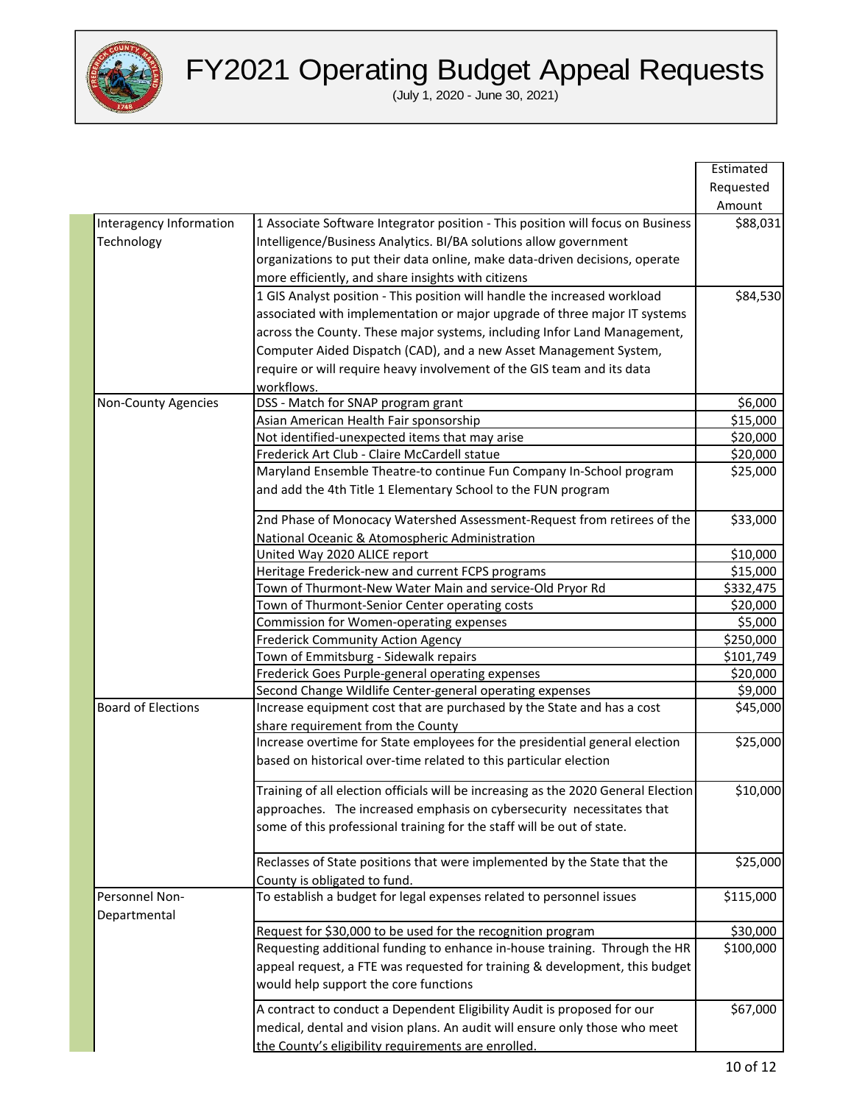

|                           |                                                                                      | Estimated |
|---------------------------|--------------------------------------------------------------------------------------|-----------|
|                           |                                                                                      | Requested |
|                           |                                                                                      | Amount    |
| Interagency Information   | 1 Associate Software Integrator position - This position will focus on Business      | \$88,031  |
| Technology                | Intelligence/Business Analytics. BI/BA solutions allow government                    |           |
|                           | organizations to put their data online, make data-driven decisions, operate          |           |
|                           | more efficiently, and share insights with citizens                                   |           |
|                           |                                                                                      |           |
|                           | 1 GIS Analyst position - This position will handle the increased workload            | \$84,530  |
|                           | associated with implementation or major upgrade of three major IT systems            |           |
|                           | across the County. These major systems, including Infor Land Management,             |           |
|                           | Computer Aided Dispatch (CAD), and a new Asset Management System,                    |           |
|                           | require or will require heavy involvement of the GIS team and its data<br>workflows. |           |
| Non-County Agencies       | DSS - Match for SNAP program grant                                                   | \$6,000   |
|                           | Asian American Health Fair sponsorship                                               | \$15,000  |
|                           | Not identified-unexpected items that may arise                                       | \$20,000  |
|                           | Frederick Art Club - Claire McCardell statue                                         | \$20,000  |
|                           | Maryland Ensemble Theatre-to continue Fun Company In-School program                  | \$25,000  |
|                           | and add the 4th Title 1 Elementary School to the FUN program                         |           |
|                           | 2nd Phase of Monocacy Watershed Assessment-Request from retirees of the              | \$33,000  |
|                           | National Oceanic & Atomospheric Administration                                       |           |
|                           | United Way 2020 ALICE report                                                         | \$10,000  |
|                           | Heritage Frederick-new and current FCPS programs                                     | \$15,000  |
|                           | Town of Thurmont-New Water Main and service-Old Pryor Rd                             | \$332,475 |
|                           | Town of Thurmont-Senior Center operating costs                                       | \$20,000  |
|                           | <b>Commission for Women-operating expenses</b>                                       | \$5,000   |
|                           | <b>Frederick Community Action Agency</b>                                             | \$250,000 |
|                           | Town of Emmitsburg - Sidewalk repairs                                                | \$101,749 |
|                           | Frederick Goes Purple-general operating expenses                                     | \$20,000  |
|                           | Second Change Wildlife Center-general operating expenses                             | \$9,000   |
| <b>Board of Elections</b> | Increase equipment cost that are purchased by the State and has a cost               | \$45,000  |
|                           | share requirement from the County                                                    |           |
|                           | Increase overtime for State employees for the presidential general election          | \$25,000  |
|                           | based on historical over-time related to this particular election                    |           |
|                           | Training of all election officials will be increasing as the 2020 General Election   | \$10,000  |
|                           | approaches. The increased emphasis on cybersecurity necessitates that                |           |
|                           | some of this professional training for the staff will be out of state.               |           |
|                           | Reclasses of State positions that were implemented by the State that the             | \$25,000  |
|                           | County is obligated to fund.                                                         |           |
| Personnel Non-            | To establish a budget for legal expenses related to personnel issues                 | \$115,000 |
| Departmental              |                                                                                      |           |
|                           | Request for \$30,000 to be used for the recognition program                          | \$30,000  |
|                           | Requesting additional funding to enhance in-house training. Through the HR           | \$100,000 |
|                           | appeal request, a FTE was requested for training & development, this budget          |           |
|                           | would help support the core functions                                                |           |
|                           | A contract to conduct a Dependent Eligibility Audit is proposed for our              | \$67,000  |
|                           | medical, dental and vision plans. An audit will ensure only those who meet           |           |
|                           |                                                                                      |           |
|                           | the County's eligibility requirements are enrolled.                                  |           |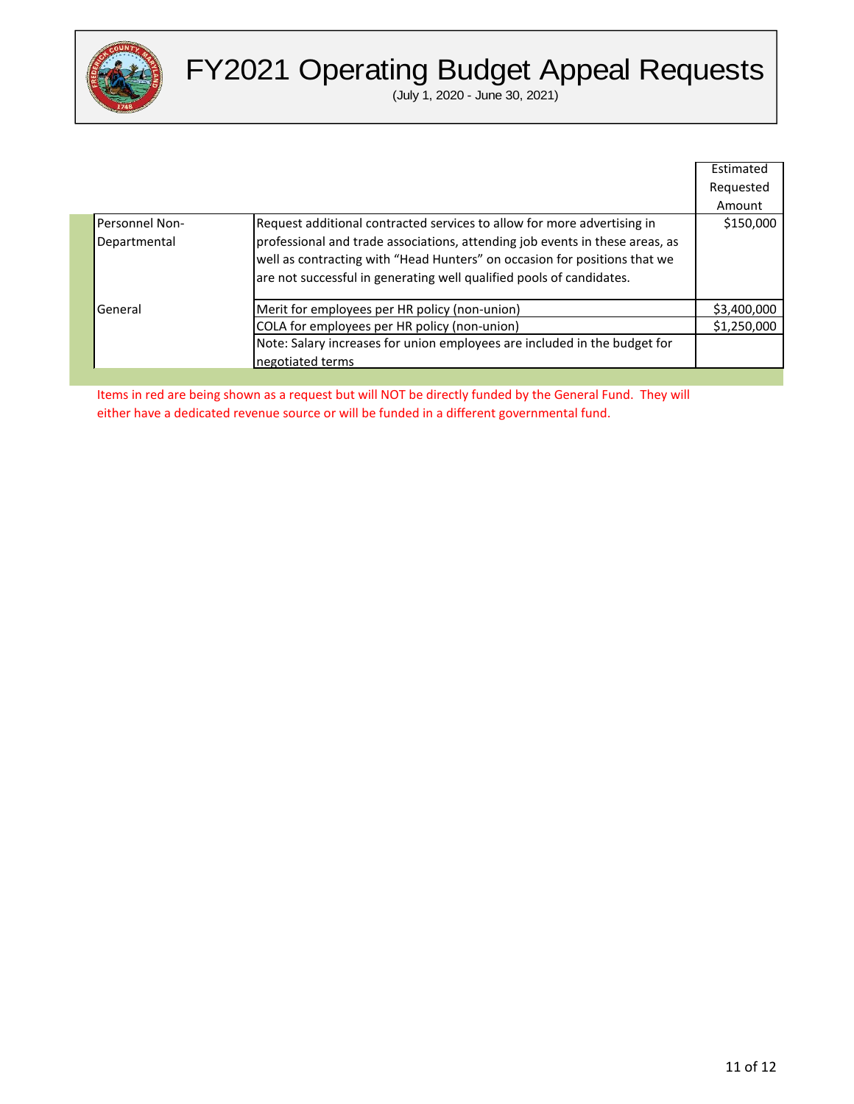

(July 1, 2020 - June 30, 2021)

|                                |                                                                                                                                                                                                                                                                                                              | Estimated   |
|--------------------------------|--------------------------------------------------------------------------------------------------------------------------------------------------------------------------------------------------------------------------------------------------------------------------------------------------------------|-------------|
|                                |                                                                                                                                                                                                                                                                                                              | Requested   |
|                                |                                                                                                                                                                                                                                                                                                              | Amount      |
| Personnel Non-<br>Departmental | Request additional contracted services to allow for more advertising in<br>professional and trade associations, attending job events in these areas, as<br>well as contracting with "Head Hunters" on occasion for positions that we<br>are not successful in generating well qualified pools of candidates. | \$150,000   |
| General                        | Merit for employees per HR policy (non-union)                                                                                                                                                                                                                                                                | \$3,400,000 |
|                                | COLA for employees per HR policy (non-union)                                                                                                                                                                                                                                                                 | \$1,250,000 |
|                                | Note: Salary increases for union employees are included in the budget for                                                                                                                                                                                                                                    |             |
|                                | negotiated terms                                                                                                                                                                                                                                                                                             |             |

Items in red are being shown as a request but will NOT be directly funded by the General Fund. They will either have a dedicated revenue source or will be funded in a different governmental fund.